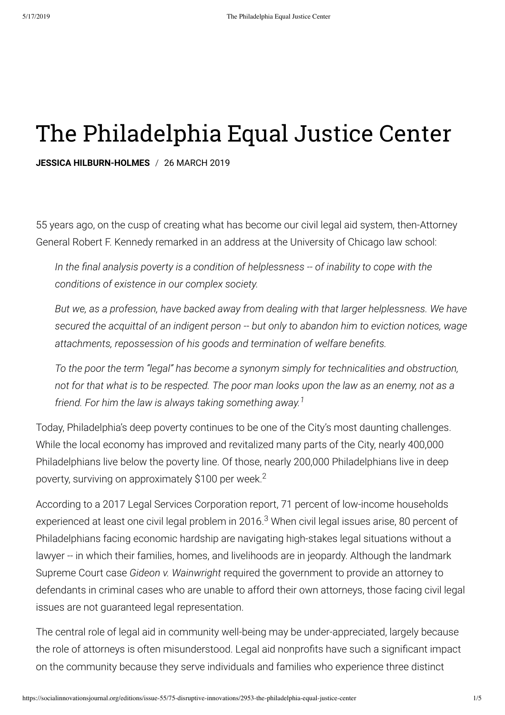# The Philadelphia Equal Justice Center

**JESSICA HILBURN-HOLMES** / 26 MARCH 2019

55 years ago, on the cusp of creating what has become our civil legal aid system, then-Attorney General Robert F. Kennedy remarked in an address at the University of Chicago law school:

In the final analysis poverty is a condition of helplessness -- of inability to cope with the *conditions of existence in our complex society.*

*But we, as a profession, have backed away from dealing with that larger helplessness. We have secured the acquittal of an indigent person -- but only to abandon him to eviction notices, wage attachments, repossession of his goods and termination of welfare benets.* 

*To the poor the term "legal" has become a synonym simply for technicalities and obstruction, not for that what is to be respected. The poor man looks upon the law as an enemy, not as a friend. For him the law is always taking something away. 1*

Today, Philadelphia's deep poverty continues to be one of the City's most daunting challenges. While the local economy has improved and revitalized many parts of the City, nearly 400,000 Philadelphians live below the poverty line. Of those, nearly 200,000 Philadelphians live in deep poverty, surviving on approximately \$100 per week.<sup>2</sup>

According to a 2017 Legal Services Corporation report, 71 percent of low-income households experienced at least one civil legal problem in 2016.<sup>3</sup> When civil legal issues arise, 80 percent of Philadelphians facing economic hardship are navigating high-stakes legal situations without a lawyer -- in which their families, homes, and livelihoods are in jeopardy. Although the landmark Supreme Court case *Gideon v. Wainwright* required the government to provide an attorney to defendants in criminal cases who are unable to afford their own attorneys, those facing civil legal issues are not guaranteed legal representation.

The central role of legal aid in community well-being may be under-appreciated, largely because the role of attorneys is often misunderstood. Legal aid nonprofits have such a significant impact on the community because they serve individuals and families who experience three distinct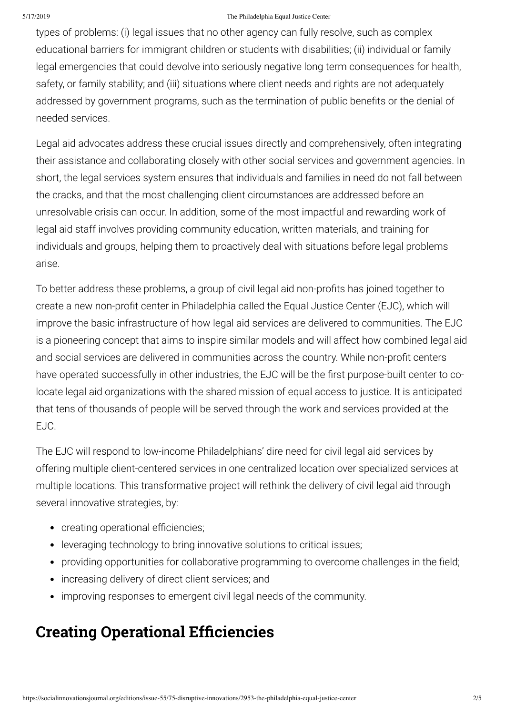#### 5/17/2019 The Philadelphia Equal Justice Center

types of problems: (i) legal issues that no other agency can fully resolve, such as complex educational barriers for immigrant children or students with disabilities; (ii) individual or family legal emergencies that could devolve into seriously negative long term consequences for health, safety, or family stability; and (iii) situations where client needs and rights are not adequately addressed by government programs, such as the termination of public benefits or the denial of needed services.

Legal aid advocates address these crucial issues directly and comprehensively, often integrating their assistance and collaborating closely with other social services and government agencies. In short, the legal services system ensures that individuals and families in need do not fall between the cracks, and that the most challenging client circumstances are addressed before an unresolvable crisis can occur. In addition, some of the most impactful and rewarding work of legal aid staff involves providing community education, written materials, and training for individuals and groups, helping them to proactively deal with situations before legal problems arise.

To better address these problems, a group of civil legal aid non-profits has joined together to create a new non-profit center in Philadelphia called the Equal Justice Center (EJC), which will improve the basic infrastructure of how legal aid services are delivered to communities. The EJC is a pioneering concept that aims to inspire similar models and will affect how combined legal aid and social services are delivered in communities across the country. While non-profit centers have operated successfully in other industries, the EJC will be the first purpose-built center to colocate legal aid organizations with the shared mission of equal access to justice. It is anticipated that tens of thousands of people will be served through the work and services provided at the EJC.

The EJC will respond to low-income Philadelphians' dire need for civil legal aid services by offering multiple client-centered services in one centralized location over specialized services at multiple locations. This transformative project will rethink the delivery of civil legal aid through several innovative strategies, by:

- creating operational efficiencies;
- leveraging technology to bring innovative solutions to critical issues;
- providing opportunities for collaborative programming to overcome challenges in the field;
- increasing delivery of direct client services; and
- improving responses to emergent civil legal needs of the community.

### **Creating Operational Efficiencies**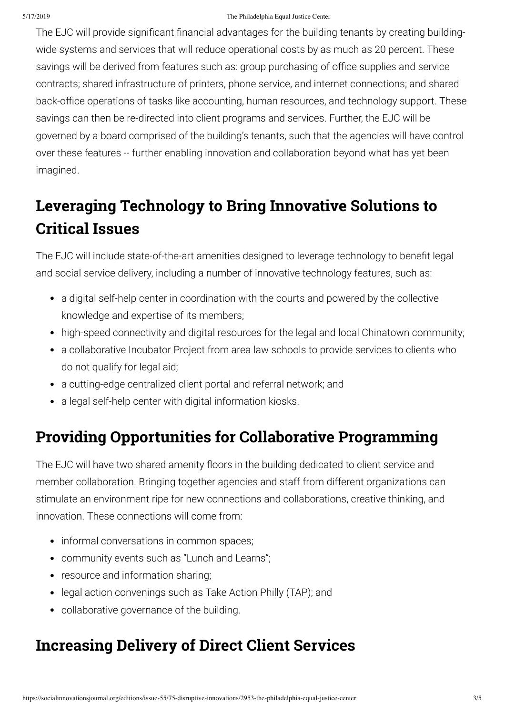#### 5/17/2019 The Philadelphia Equal Justice Center

The EJC will provide significant financial advantages for the building tenants by creating buildingwide systems and services that will reduce operational costs by as much as 20 percent. These savings will be derived from features such as: group purchasing of office supplies and service contracts; shared infrastructure of printers, phone service, and internet connections; and shared back-office operations of tasks like accounting, human resources, and technology support. These savings can then be re-directed into client programs and services. Further, the EJC will be governed by a board comprised of the building's tenants, such that the agencies will have control over these features -- further enabling innovation and collaboration beyond what has yet been imagined.

# **Leveraging Technology to Bring Innovative Solutions to Critical Issues**

The EJC will include state-of-the-art amenities designed to leverage technology to benefit legal and social service delivery, including a number of innovative technology features, such as:

- a digital self-help center in coordination with the courts and powered by the collective knowledge and expertise of its members;
- high-speed connectivity and digital resources for the legal and local Chinatown community;
- a collaborative Incubator Project from area law schools to provide services to clients who do not qualify for legal aid;
- a cutting-edge centralized client portal and referral network; and
- a legal self-help center with digital information kiosks.

#### **Providing Opportunities for Collaborative Programming**

The EJC will have two shared amenity floors in the building dedicated to client service and member collaboration. Bringing together agencies and staff from different organizations can stimulate an environment ripe for new connections and collaborations, creative thinking, and innovation. These connections will come from:

- informal conversations in common spaces;
- community events such as "Lunch and Learns";
- resource and information sharing;
- legal action convenings such as Take Action Philly (TAP); and
- collaborative governance of the building.

### **Increasing Delivery of Direct Client Services**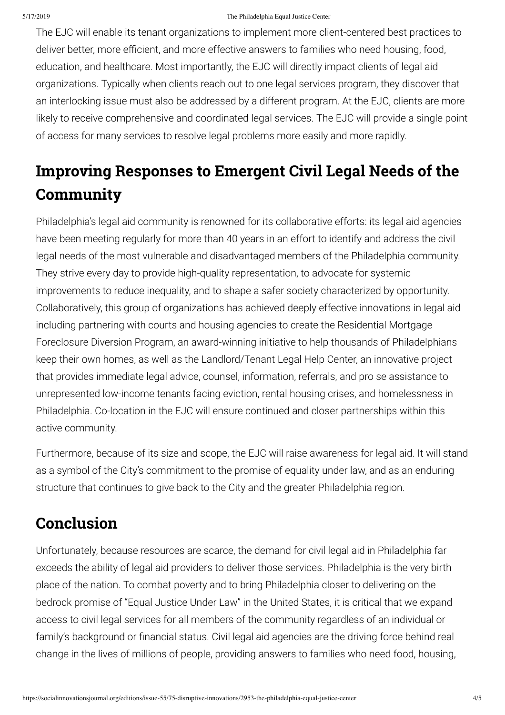#### 5/17/2019 The Philadelphia Equal Justice Center

The EJC will enable its tenant organizations to implement more client-centered best practices to deliver better, more efficient, and more effective answers to families who need housing, food, education, and healthcare. Most importantly, the EJC will directly impact clients of legal aid organizations. Typically when clients reach out to one legal services program, they discover that an interlocking issue must also be addressed by a different program. At the EJC, clients are more likely to receive comprehensive and coordinated legal services. The EJC will provide a single point of access for many services to resolve legal problems more easily and more rapidly.

# **Improving Responses to Emergent Civil Legal Needs of the Community**

Philadelphia's legal aid community is renowned for its collaborative efforts: its legal aid agencies have been meeting regularly for more than 40 years in an effort to identify and address the civil legal needs of the most vulnerable and disadvantaged members of the Philadelphia community. They strive every day to provide high-quality representation, to advocate for systemic improvements to reduce inequality, and to shape a safer society characterized by opportunity. Collaboratively, this group of organizations has achieved deeply effective innovations in legal aid including partnering with courts and housing agencies to create the Residential Mortgage Foreclosure Diversion Program, an award-winning initiative to help thousands of Philadelphians keep their own homes, as well as the Landlord/Tenant Legal Help Center, an innovative project that provides immediate legal advice, counsel, information, referrals, and pro se assistance to unrepresented low-income tenants facing eviction, rental housing crises, and homelessness in Philadelphia. Co-location in the EJC will ensure continued and closer partnerships within this active community.

Furthermore, because of its size and scope, the EJC will raise awareness for legal aid. It will stand as a symbol of the City's commitment to the promise of equality under law, and as an enduring structure that continues to give back to the City and the greater Philadelphia region.

### **Conclusion**

Unfortunately, because resources are scarce, the demand for civil legal aid in Philadelphia far exceeds the ability of legal aid providers to deliver those services. Philadelphia is the very birth place of the nation. To combat poverty and to bring Philadelphia closer to delivering on the bedrock promise of "Equal Justice Under Law" in the United States, it is critical that we expand access to civil legal services for all members of the community regardless of an individual or family's background or financial status. Civil legal aid agencies are the driving force behind real change in the lives of millions of people, providing answers to families who need food, housing,